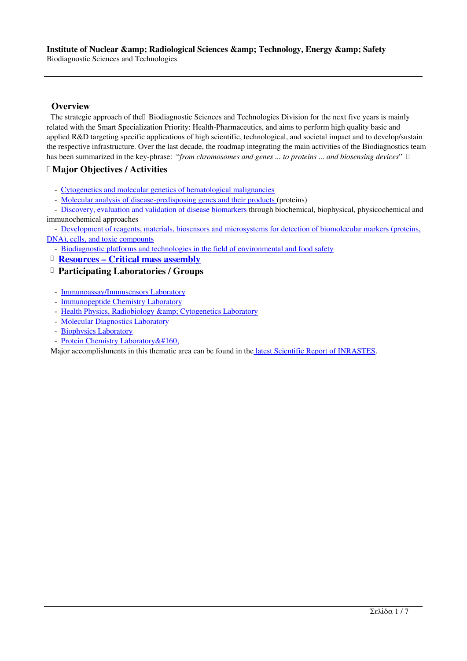### **Overview**

The strategic approach of the 
Biodiagnostic Sciences and Technologies Division for the next five years is mainly related with the Smart Specialization Priority: Health-Pharmaceutics, and aims to perform high quality basic and applied R&D targeting specific applications of high scientific, technological, and societal impact and to develop/sustain the respective infrastructure. Over the last decade, the roadmap integrating the main activities of the Biodiagnostics team has been summarized in the key-phrase: "*from chromosomes and genes ... to proteins ... and biosensing devices*"

## **Major Objectives / Activities**

- Cytogenetics and molecular genetics of hematological malignancies
- Molecular analysis of disease-predisposing genes and their products (proteins)
- Discovery, evaluation and validation of disease biomarkers through biochemical, biophysical, physicochemical and immunochemical approaches

- [Development of reagents, materials, biosensors and microsystems fo](http://www.ipretea.demokritos.gr/index.php?option=com_content&task=view&id=153&Itemid=195&limit=1&limitstart=1)r detection of biomolecular markers (proteins, DN[A\), cells, and toxic compounts](http://www.ipretea.demokritos.gr/index.php?option=com_content&task=view&id=153&Itemid=195&limit=1&limitstart=2) 

- [Biodiagnostic platforms and technologies in the field of env](http://www.ipretea.demokritos.gr/index.php?option=com_content&task=view&id=153&Itemid=195&limit=1&limitstart=3)ironmental and food safety
- **Resources Critical mass assembly**

#### **[Participating Laboratories / Groups](http://www.ipretea.demokritos.gr/index.php?option=com_content&task=view&id=153&Itemid=195&limit=1&limitstart=4)**

- [Immunoassay/Immusensors Laboratory](http://www.ipretea.demokritos.gr/index.php?option=com_content&task=view&id=153&Itemid=195&limit=1&limitstart=5)
- - [Immunopeptide Chemistry Laboratory](http://www.ipretea.demokritos.gr/index.php?option=com_content&task=view&id=153&Itemid=195&limit=1&limitstart=6)
- Health Physics, Radiobiology & amp; Cytogenetics Laboratory
- Molecular Diagnostics Laboratory
- [Biophysics Laboratory](http://www.ipretea.demokritos.gr/index.php?option=com_content&task=view&id=32&Itemid=49)
- Protein Chemistry Laboratory & #160;

Ma[jor accomplishments in this thematic area can be found in the la](http://www.ipretea.demokritos.gr/index.php?option=com_content&task=view&id=79&Itemid=113)test Scientific Report of INRASTES.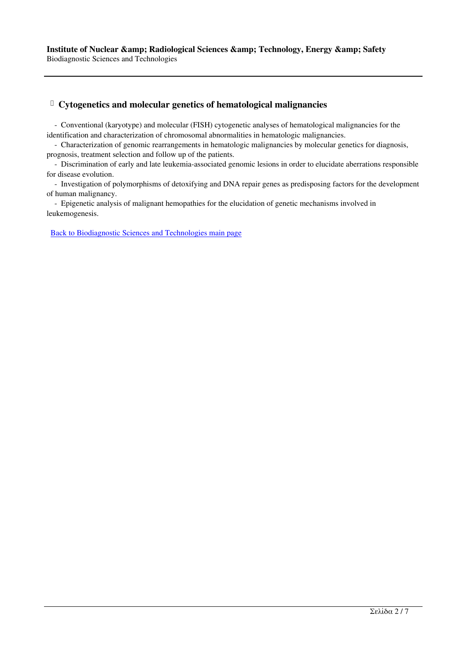### **Cytogenetics and molecular genetics of hematological malignancies**

 - Conventional (karyotype) and molecular (FISH) cytogenetic analyses of hematological malignancies for the identification and characterization of chromosomal abnormalities in hematologic malignancies.

 - Characterization of genomic rearrangements in hematologic malignancies by molecular genetics for diagnosis, prognosis, treatment selection and follow up of the patients.

 - Discrimination of early and late leukemia-associated genomic lesions in order to elucidate aberrations responsible for disease evolution.

 - Investigation of polymorphisms of detoxifying and DNA repair genes as predisposing factors for the development of human malignancy.

 - Epigenetic analysis of malignant hemopathies for the elucidation of genetic mechanisms involved in leukemogenesis.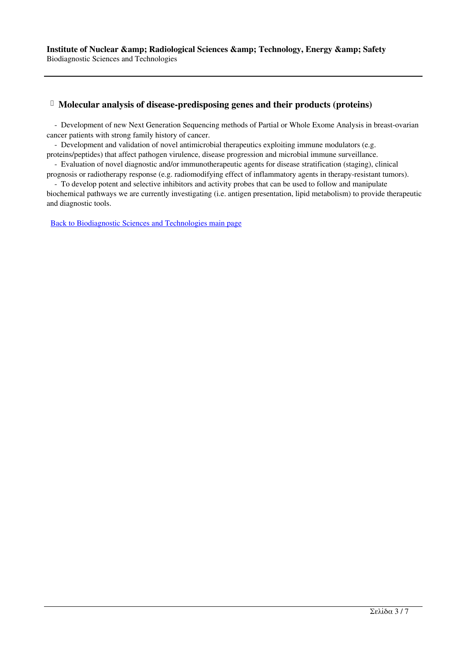### **Molecular analysis of disease-predisposing genes and their products (proteins)**

 - Development of new Next Generation Sequencing methods of Partial or Whole Exome Analysis in breast-ovarian cancer patients with strong family history of cancer.

 - Development and validation of novel antimicrobial therapeutics exploiting immune modulators (e.g. proteins/peptides) that affect pathogen virulence, disease progression and microbial immune surveillance.

 - Evaluation of novel diagnostic and/or immunotherapeutic agents for disease stratification (staging), clinical prognosis or radiotherapy response (e.g. radiomodifying effect of inflammatory agents in therapy-resistant tumors).

 - To develop potent and selective inhibitors and activity probes that can be used to follow and manipulate biochemical pathways we are currently investigating (i.e. antigen presentation, lipid metabolism) to provide therapeutic and diagnostic tools.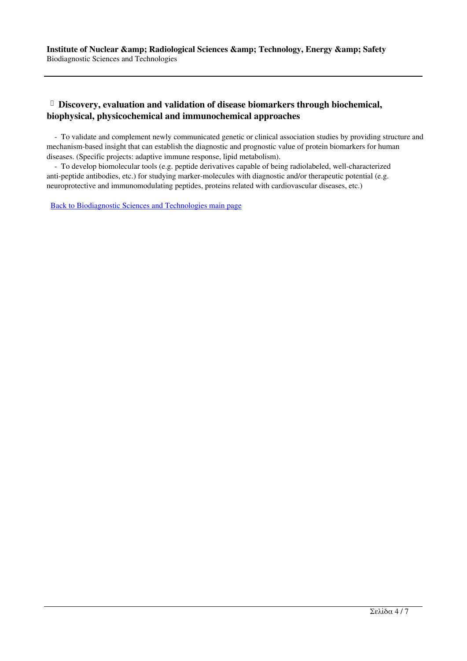# **Discovery, evaluation and validation of disease biomarkers through biochemical, biophysical, physicochemical and immunochemical approaches**

 - To validate and complement newly communicated genetic or clinical association studies by providing structure and mechanism-based insight that can establish the diagnostic and prognostic value of protein biomarkers for human diseases. (Specific projects: adaptive immune response, lipid metabolism).

 - To develop biomolecular tools (e.g. peptide derivatives capable of being radiolabeled, well-characterized anti-peptide antibodies, etc.) for studying marker-molecules with diagnostic and/or therapeutic potential (e.g. neuroprotective and immunomodulating peptides, proteins related with cardiovascular diseases, etc.)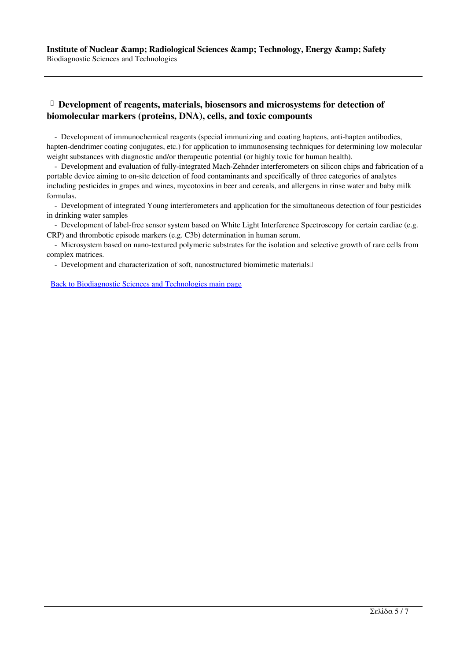## **Development of reagents, materials, biosensors and microsystems for detection of biomolecular markers (proteins, DNA), cells, and toxic compounts**

 - Development of immunochemical reagents (special immunizing and coating haptens, anti-hapten antibodies, hapten-dendrimer coating conjugates, etc.) for application to immunosensing techniques for determining low molecular weight substances with diagnostic and/or therapeutic potential (or highly toxic for human health).

 - Development and evaluation of fully-integrated Mach-Zehnder interferometers on silicon chips and fabrication of a portable device aiming to on-site detection of food contaminants and specifically of three categories of analytes including pesticides in grapes and wines, mycotoxins in beer and cereals, and allergens in rinse water and baby milk formulas.

 - Development of integrated Young interferometers and application for the simultaneous detection of four pesticides in drinking water samples

 - Development of label-free sensor system based on White Light Interference Spectroscopy for certain cardiac (e.g. CRP) and thrombotic episode markers (e.g. C3b) determination in human serum.

 - Microsystem based on nano-textured polymeric substrates for the isolation and selective growth of rare cells from complex matrices.

- Development and characterization of soft, nanostructured biomimetic materials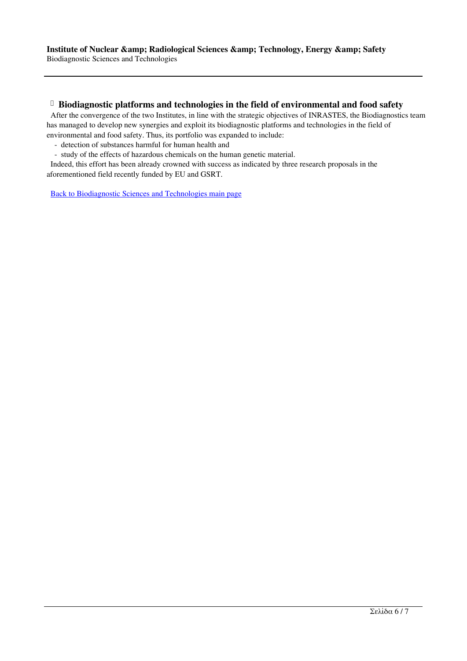#### **Biodiagnostic platforms and technologies in the field of environmental and food safety**

 After the convergence of the two Institutes, in line with the strategic objectives of INRASTES, the Biodiagnostics team has managed to develop new synergies and exploit its biodiagnostic platforms and technologies in the field of environmental and food safety. Thus, its portfolio was expanded to include:

- detection of substances harmful for human health and
- study of the effects of hazardous chemicals on the human genetic material.

 Indeed, this effort has been already crowned with success as indicated by three research proposals in the aforementioned field recently funded by EU and GSRT.